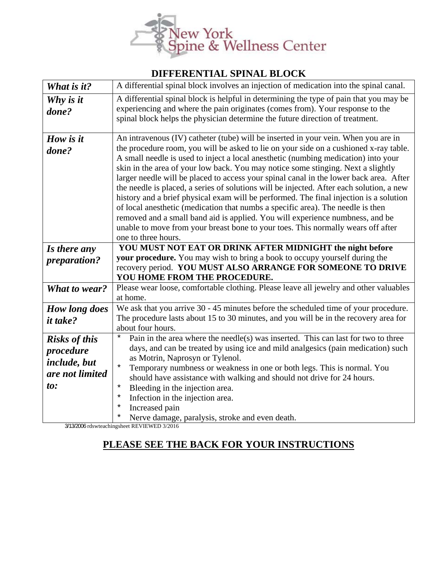

## **DIFFERENTIAL SPINAL BLOCK**

| What is it?                                                                 | A differential spinal block involves an injection of medication into the spinal canal.                                                                                                                                                                                                                                                                                                                                                                                                                                                                                                                                                                                                                                                                                                                                                                                                                               |
|-----------------------------------------------------------------------------|----------------------------------------------------------------------------------------------------------------------------------------------------------------------------------------------------------------------------------------------------------------------------------------------------------------------------------------------------------------------------------------------------------------------------------------------------------------------------------------------------------------------------------------------------------------------------------------------------------------------------------------------------------------------------------------------------------------------------------------------------------------------------------------------------------------------------------------------------------------------------------------------------------------------|
| Why is it<br>done?                                                          | A differential spinal block is helpful in determining the type of pain that you may be<br>experiencing and where the pain originates (comes from). Your response to the<br>spinal block helps the physician determine the future direction of treatment.                                                                                                                                                                                                                                                                                                                                                                                                                                                                                                                                                                                                                                                             |
| How is it<br>done?                                                          | An intravenous (IV) catheter (tube) will be inserted in your vein. When you are in<br>the procedure room, you will be asked to lie on your side on a cushioned x-ray table.<br>A small needle is used to inject a local anesthetic (numbing medication) into your<br>skin in the area of your low back. You may notice some stinging. Next a slightly<br>larger needle will be placed to access your spinal canal in the lower back area. After<br>the needle is placed, a series of solutions will be injected. After each solution, a new<br>history and a brief physical exam will be performed. The final injection is a solution<br>of local anesthetic (medication that numbs a specific area). The needle is then<br>removed and a small band aid is applied. You will experience numbness, and be<br>unable to move from your breast bone to your toes. This normally wears off after<br>one to three hours. |
| Is there any                                                                | YOU MUST NOT EAT OR DRINK AFTER MIDNIGHT the night before                                                                                                                                                                                                                                                                                                                                                                                                                                                                                                                                                                                                                                                                                                                                                                                                                                                            |
| preparation?                                                                | your procedure. You may wish to bring a book to occupy yourself during the<br>recovery period. YOU MUST ALSO ARRANGE FOR SOMEONE TO DRIVE<br>YOU HOME FROM THE PROCEDURE.                                                                                                                                                                                                                                                                                                                                                                                                                                                                                                                                                                                                                                                                                                                                            |
| <b>What to wear?</b>                                                        | Please wear loose, comfortable clothing. Please leave all jewelry and other valuables<br>at home.                                                                                                                                                                                                                                                                                                                                                                                                                                                                                                                                                                                                                                                                                                                                                                                                                    |
| <b>How long does</b><br><i>it take?</i>                                     | We ask that you arrive 30 - 45 minutes before the scheduled time of your procedure.<br>The procedure lasts about 15 to 30 minutes, and you will be in the recovery area for<br>about four hours.                                                                                                                                                                                                                                                                                                                                                                                                                                                                                                                                                                                                                                                                                                                     |
| <b>Risks of this</b><br>procedure<br>include, but<br>are not limited<br>to: | Pain in the area where the needle(s) was inserted. This can last for two to three<br>$\star$<br>days, and can be treated by using ice and mild analgesics (pain medication) such<br>as Motrin, Naprosyn or Tylenol.<br>$\star$<br>Temporary numbness or weakness in one or both legs. This is normal. You<br>should have assistance with walking and should not drive for 24 hours.<br>Bleeding in the injection area.<br>$^\star$<br>Infection in the injection area.<br>$^\star$<br>Increased pain<br>$^\star$<br>Nerve damage, paralysis, stroke and even death.<br>$^\star$                                                                                                                                                                                                                                                                                                                                      |

3/13/2006 rdswteachingsheet REVIEWED 3/2016

## **PLEASE SEE THE BACK FOR YOUR INSTRUCTIONS**